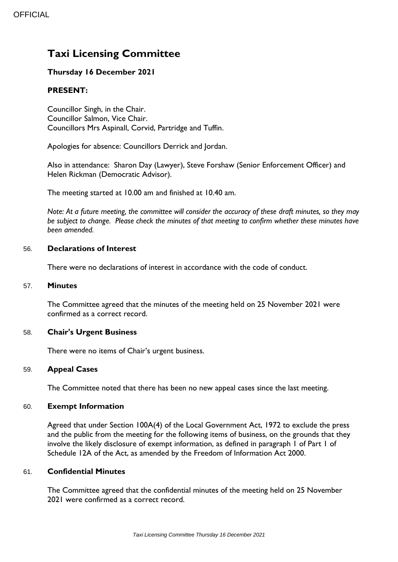# **Taxi Licensing Committee**

## **Thursday 16 December 2021**

## **PRESENT:**

Councillor Singh, in the Chair. Councillor Salmon, Vice Chair. Councillors Mrs Aspinall, Corvid, Partridge and Tuffin.

Apologies for absence: Councillors Derrick and Jordan.

Also in attendance: Sharon Day (Lawyer), Steve Forshaw (Senior Enforcement Officer) and Helen Rickman (Democratic Advisor).

The meeting started at 10.00 am and finished at 10.40 am.

*Note: At a future meeting, the committee will consider the accuracy of these draft minutes, so they may be subject to change. Please check the minutes of that meeting to confirm whether these minutes have been amended.*

#### 56. **Declarations of Interest**

There were no declarations of interest in accordance with the code of conduct.

#### 57. **Minutes**

The Committee agreed that the minutes of the meeting held on 25 November 2021 were confirmed as a correct record.

#### 58. **Chair's Urgent Business**

There were no items of Chair's urgent business.

#### 59. **Appeal Cases**

The Committee noted that there has been no new appeal cases since the last meeting.

#### 60. **Exempt Information**

Agreed that under Section 100A(4) of the Local Government Act, 1972 to exclude the press and the public from the meeting for the following items of business, on the grounds that they involve the likely disclosure of exempt information, as defined in paragraph 1 of Part 1 of Schedule 12A of the Act, as amended by the Freedom of Information Act 2000.

#### 61. **Confidential Minutes**

The Committee agreed that the confidential minutes of the meeting held on 25 November 2021 were confirmed as a correct record.